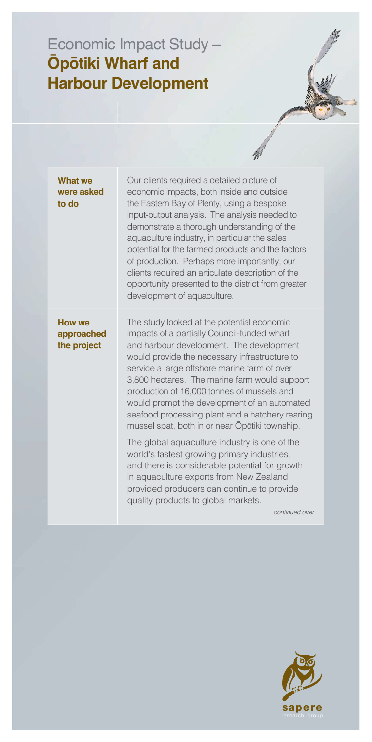## Economic Impact Study – **Ōpōtiki Wharf and Harbour Development**

| <b>What we</b><br>were asked<br>to do      | Our clients required a detailed picture of<br>economic impacts, both inside and outside<br>the Eastern Bay of Plenty, using a bespoke<br>input-output analysis. The analysis needed to<br>demonstrate a thorough understanding of the<br>aquaculture industry, in particular the sales<br>potential for the farmed products and the factors<br>of production. Perhaps more importantly, our<br>clients required an articulate description of the<br>opportunity presented to the district from greater<br>development of aquaculture. |
|--------------------------------------------|---------------------------------------------------------------------------------------------------------------------------------------------------------------------------------------------------------------------------------------------------------------------------------------------------------------------------------------------------------------------------------------------------------------------------------------------------------------------------------------------------------------------------------------|
| <b>How we</b><br>approached<br>the project | The study looked at the potential economic<br>impacts of a partially Council-funded wharf<br>and harbour development. The development<br>would provide the necessary infrastructure to<br>service a large offshore marine farm of over<br>3,800 hectares. The marine farm would support<br>production of 16,000 tonnes of mussels and<br>would prompt the development of an automated<br>seafood processing plant and a hatchery rearing<br>mussel spat, both in or near Opotiki township.                                            |
|                                            | The global aquaculture industry is one of the<br>world's fastest growing primary industries,<br>and there is considerable potential for growth<br>in aquaculture exports from New Zealand<br>provided producers can continue to provide<br>quality products to global markets.<br>continued over                                                                                                                                                                                                                                      |